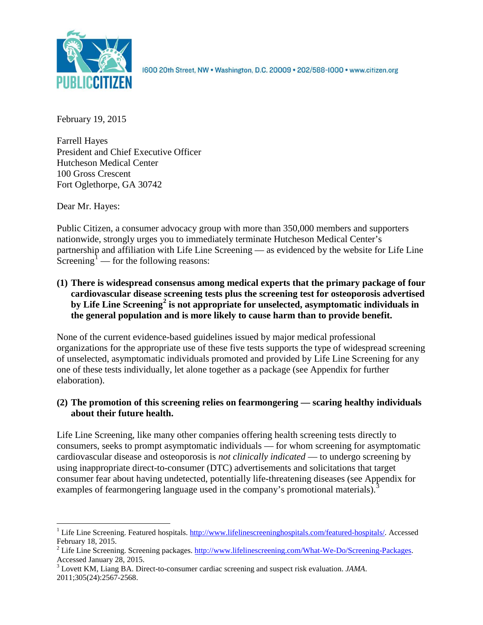

1600 20th Street, NW . Washington, D.C. 20009 . 202/588-1000 . www.citizen.org

February 19, 2015

Farrell Hayes President and Chief Executive Officer Hutcheson Medical Center 100 Gross Crescent Fort Oglethorpe, GA 30742

Dear Mr. Hayes:

Public Citizen, a consumer advocacy group with more than 350,000 members and supporters nationwide, strongly urges you to immediately terminate Hutcheson Medical Center's partnership and affiliation with Life Line Screening — as evidenced by the website for Life Line Screening<sup>[1](#page-0-0)</sup> — for the following reasons:

**(1) There is widespread consensus among medical experts that the primary package of four cardiovascular disease screening tests plus the screening test for osteoporosis advertised by Life Line Screening[2](#page-0-1) is not appropriate for unselected, asymptomatic individuals in the general population and is more likely to cause harm than to provide benefit.**

None of the current evidence-based guidelines issued by major medical professional organizations for the appropriate use of these five tests supports the type of widespread screening of unselected, asymptomatic individuals promoted and provided by Life Line Screening for any one of these tests individually, let alone together as a package (see Appendix for further elaboration).

# **(2) The promotion of this screening relies on fearmongering — scaring healthy individuals about their future health.**

Life Line Screening, like many other companies offering health screening tests directly to consumers, seeks to prompt asymptomatic individuals — for whom screening for asymptomatic cardiovascular disease and osteoporosis is *not clinically indicated* — to undergo screening by using inappropriate direct-to-consumer (DTC) advertisements and solicitations that target consumer fear about having undetected, potentially life-threatening diseases (see Appendix for examples of fearmongering language used in the company's promotional materials).<sup>[3](#page-0-2)</sup>

<span id="page-0-0"></span><sup>&</sup>lt;sup>1</sup> Life Line Screening. Featured hospitals. [http://www.lifelinescreeninghospitals.com/featured-hospitals/.](http://www.lifelinescreeninghospitals.com/featured-hospitals/) Accessed

<span id="page-0-1"></span>February 18, 2015.<br><sup>2</sup> Life Line Screening. Screening packages. [http://www.lifelinescreening.com/What-We-Do/Screening-Packages.](http://www.lifelinescreening.com/What-We-Do/Screening-Packages)<br>Accessed January 28, 2015.

<span id="page-0-2"></span><sup>&</sup>lt;sup>3</sup> Lovett KM, Liang BA. Direct-to-consumer cardiac screening and suspect risk evaluation. *JAMA*. 2011;305(24):2567-2568.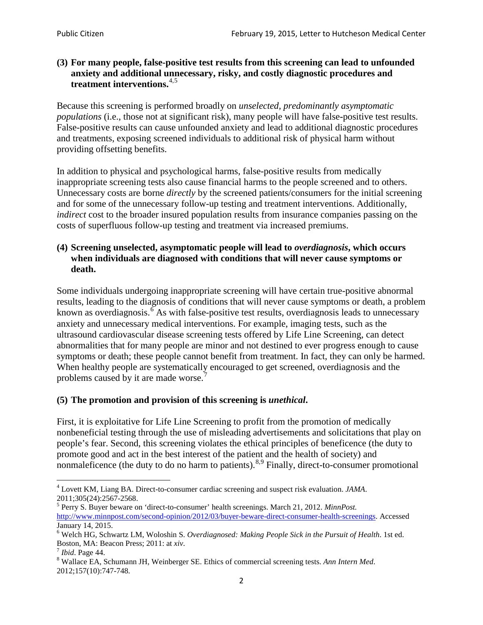## **(3) For many people, false-positive test results from this screening can lead to unfounded anxiety and additional unnecessary, risky, and costly diagnostic procedures and treatment interventions.**[4](#page-1-0),[5](#page-1-1)

Because this screening is performed broadly on *unselected, predominantly asymptomatic populations* (i.e., those not at significant risk), many people will have false**-**positive test results. False-positive results can cause unfounded anxiety and lead to additional diagnostic procedures and treatments, exposing screened individuals to additional risk of physical harm without providing offsetting benefits.

In addition to physical and psychological harms, false-positive results from medically inappropriate screening tests also cause financial harms to the people screened and to others. Unnecessary costs are borne *directly* by the screened patients/consumers for the initial screening and for some of the unnecessary follow-up testing and treatment interventions. Additionally, *indirect* cost to the broader insured population results from insurance companies passing on the costs of superfluous follow-up testing and treatment via increased premiums.

## **(4) Screening unselected, asymptomatic people will lead to** *overdiagnosis***, which occurs when individuals are diagnosed with conditions that will never cause symptoms or death.**

Some individuals undergoing inappropriate screening will have certain true-positive abnormal results, leading to the diagnosis of conditions that will never cause symptoms or death, a problem known as overdiagnosis.<sup>[6](#page-1-2)</sup> As with false-positive test results, overdiagnosis leads to unnecessary anxiety and unnecessary medical interventions. For example, imaging tests, such as the ultrasound cardiovascular disease screening tests offered by Life Line Screening, can detect abnormalities that for many people are minor and not destined to ever progress enough to cause symptoms or death; these people cannot benefit from treatment. In fact, they can only be harmed. When healthy people are systematically encouraged to get screened, overdiagnosis and the problems caused by it are made worse.<sup>[7](#page-1-3)</sup>

# **(5) The promotion and provision of this screening is** *unethical***.**

First, it is exploitative for Life Line Screening to profit from the promotion of medically nonbeneficial testing through the use of misleading advertisements and solicitations that play on people's fear. Second, this screening violates the ethical principles of beneficence (the duty to promote good and act in the best interest of the patient and the health of society) and nonmaleficence (the duty to do no harm to patients).<sup>[8](#page-1-4),[9](#page-1-5)</sup> Finally, direct-to-consumer promotional

<span id="page-1-5"></span><span id="page-1-0"></span><sup>4</sup> Lovett KM, Liang BA. Direct-to-consumer cardiac screening and suspect risk evaluation. *JAMA*.

<span id="page-1-1"></span><sup>2011;305(24):2567-2568.</sup> <sup>5</sup> Perry S. Buyer beware on 'direct-to-consumer' health screenings. March 21, 2012. *MinnPost.*  [http://www.minnpost.com/second-opinion/2012/03/buyer-beware-direct-consumer-health-screenings.](http://www.minnpost.com/second-opinion/2012/03/buyer-beware-direct-consumer-health-screenings) Accessed January 14, 2015.

<span id="page-1-2"></span><sup>6</sup> Welch HG, Schwartz LM, Woloshin S. *Overdiagnosed: Making People Sick in the Pursuit of Health*. 1st ed. Boston, MA: Beacon Press; 2011: at *xiv*.<br><sup>7</sup> *Ibid*. Page 44.<br><sup>8</sup> Wallace EA, Schumann JH, Weinberger SE. Ethics of commercial screening tests. *Ann Intern Med*.

<span id="page-1-3"></span>

<span id="page-1-4"></span><sup>2012;157(10):747-748.</sup>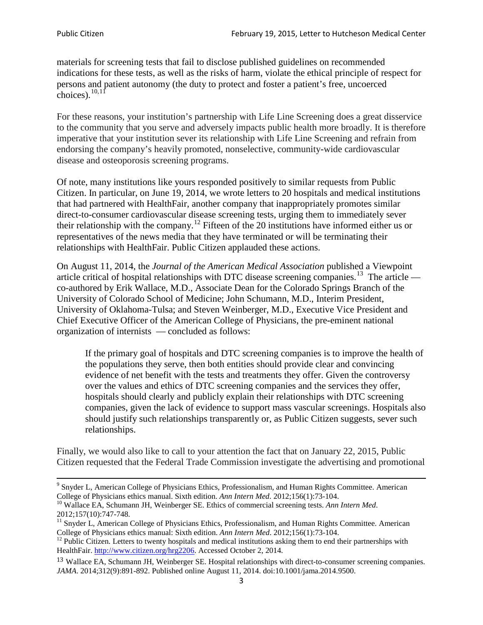materials for screening tests that fail to disclose published guidelines on recommended indications for these tests, as well as the risks of harm, violate the ethical principle of respect for persons and patient autonomy (the duty to protect and foster a patient's free, uncoerced choices). $\frac{10,11}{10,11}$  $\frac{10,11}{10,11}$  $\frac{10,11}{10,11}$  $\frac{10,11}{10,11}$ 

For these reasons, your institution's partnership with Life Line Screening does a great disservice to the community that you serve and adversely impacts public health more broadly. It is therefore imperative that your institution sever its relationship with Life Line Screening and refrain from endorsing the company's heavily promoted, nonselective, community**-**wide cardiovascular disease and osteoporosis screening programs.

Of note, many institutions like yours responded positively to similar requests from Public Citizen. In particular, on June 19, 2014, we wrote letters to 20 hospitals and medical institutions that had partnered with HealthFair, another company that inappropriately promotes similar direct-to-consumer cardiovascular disease screening tests, urging them to immediately sever their relationship with the company. [12](#page-2-2) Fifteen of the 20 institutions have informed either us or representatives of the news media that they have terminated or will be terminating their relationships with HealthFair. Public Citizen applauded these actions.

On August 11, 2014, the *Journal of the American Medical Association* published a Viewpoint article critical of hospital relationships with DTC disease screening companies.<sup>13</sup> The article co-authored by Erik Wallace, M.D., Associate Dean for the Colorado Springs Branch of the University of Colorado School of Medicine; John Schumann, M.D., Interim President, University of Oklahoma-Tulsa; and Steven Weinberger, M.D., Executive Vice President and Chief Executive Officer of the American College of Physicians, the pre**-**eminent national organization of internists — concluded as follows:

If the primary goal of hospitals and DTC screening companies is to improve the health of the populations they serve, then both entities should provide clear and convincing evidence of net benefit with the tests and treatments they offer. Given the controversy over the values and ethics of DTC screening companies and the services they offer, hospitals should clearly and publicly explain their relationships with DTC screening companies, given the lack of evidence to support mass vascular screenings. Hospitals also should justify such relationships transparently or, as Public Citizen suggests, sever such relationships.

Finally, we would also like to call to your attention the fact that on January 22, 2015, Public Citizen requested that the Federal Trade Commission investigate the advertising and promotional

<sup>&</sup>lt;sup>9</sup> Snyder L, American College of Physicians Ethics, Professionalism, and Human Rights Committee. American College of Physicians ethics manual. Sixth edition. Ann Intern Med. 2012;156(1):73-104.

<span id="page-2-0"></span><sup>&</sup>lt;sup>10</sup> Wallace EA, Schumann JH, Weinberger SE. Ethics of commercial screening tests. *Ann Intern Med*. 2012;157(10):747-748.

<span id="page-2-1"></span> $11$  Snyder L, American College of Physicians Ethics, Professionalism, and Human Rights Committee. American College of Physicians ethics manual: Sixth edition. *Ann Intern Med*. 2012;156(1):73-104.<br><sup>12</sup> Public Citizen. Letters to twenty hospitals and medical institutions asking them to end their partnerships with

<span id="page-2-2"></span>HealthFair. [http://www.citizen.org/hrg2206.](http://www.citizen.org/hrg2206) Accessed October 2, 2014.

<span id="page-2-3"></span><sup>13</sup> Wallace EA, Schumann JH, Weinberger SE. Hospital relationships with direct-to-consumer screening companies. *JAMA*. 2014;312(9):891-892. Published online August 11, 2014. doi:10.1001/jama.2014.9500.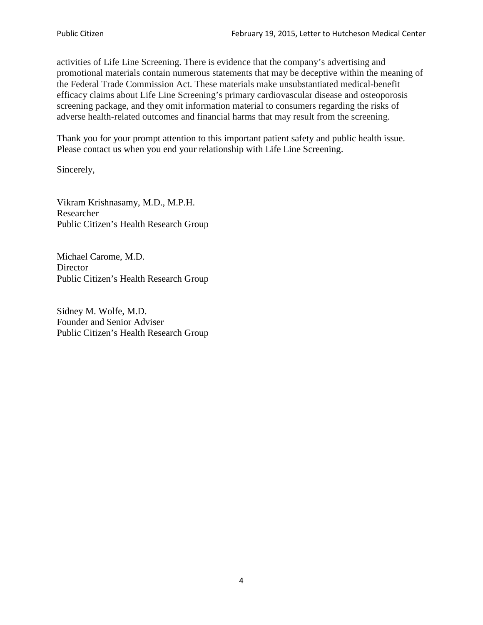activities of Life Line Screening. There is evidence that the company's advertising and promotional materials contain numerous statements that may be deceptive within the meaning of the Federal Trade Commission Act. These materials make unsubstantiated medical-benefit efficacy claims about Life Line Screening's primary cardiovascular disease and osteoporosis screening package, and they omit information material to consumers regarding the risks of adverse health-related outcomes and financial harms that may result from the screening.

Thank you for your prompt attention to this important patient safety and public health issue. Please contact us when you end your relationship with Life Line Screening.

Sincerely,

Vikram Krishnasamy, M.D., M.P.H. Researcher Public Citizen's Health Research Group

Michael Carome, M.D. **Director** Public Citizen's Health Research Group

Sidney M. Wolfe, M.D. Founder and Senior Adviser Public Citizen's Health Research Group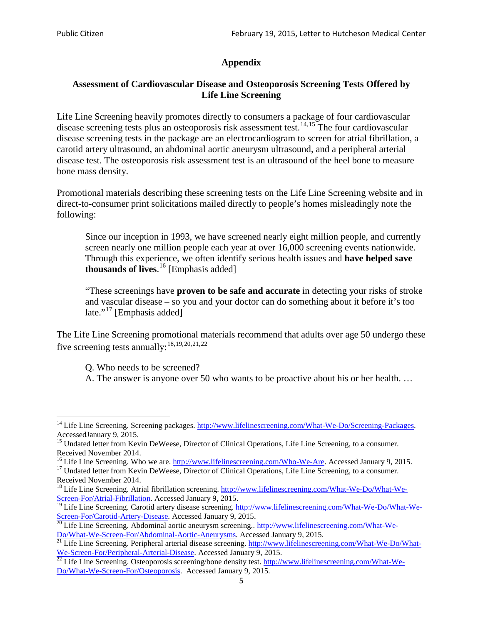# **Appendix**

## **Assessment of Cardiovascular Disease and Osteoporosis Screening Tests Offered by Life Line Screening**

Life Line Screening heavily promotes directly to consumers a package of four cardiovascular disease screening tests plus an osteoporosis risk assessment test.<sup>[14](#page-4-0),[15](#page-4-1)</sup> The four cardiovascular disease screening tests in the package are an electrocardiogram to screen for atrial fibrillation, a carotid artery ultrasound, an abdominal aortic aneurysm ultrasound, and a peripheral arterial disease test. The osteoporosis risk assessment test is an ultrasound of the heel bone to measure bone mass density.

Promotional materials describing these screening tests on the Life Line Screening website and in direct-to-consumer print solicitations mailed directly to people's homes misleadingly note the following:

Since our inception in 1993, we have screened nearly eight million people, and currently screen nearly one million people each year at over 16,000 screening events nationwide. Through this experience, we often identify serious health issues and **have helped save thousands of lives**. [16](#page-4-2) [Emphasis added]

"These screenings have **proven to be safe and accurate** in detecting your risks of stroke and vascular disease – so you and your doctor can do something about it before it's too late."<sup>[17](#page-4-3)</sup> [Emphasis added]

The Life Line Screening promotional materials recommend that adults over age 50 undergo these five screening tests annually:[18](#page-4-4),[19,](#page-4-5)[20,](#page-4-6)[21](#page-4-7),[22](#page-4-8)

Q. Who needs to be screened?

A. The answer is anyone over 50 who wants to be proactive about his or her health. …

<span id="page-4-0"></span><sup>&</sup>lt;sup>14</sup> Life Line Screening. Screening packages. [http://www.lifelinescreening.com/What-We-Do/Screening-Packages.](http://www.lifelinescreening.com/What-We-Do/Screening-Packages) AccessedJanuary 9, 2015.

<span id="page-4-1"></span><sup>&</sup>lt;sup>15</sup> Undated letter from Kevin DeWeese, Director of Clinical Operations, Life Line Screening, to a consumer.

Received November 2014.<br><sup>16</sup> Life Line Screening. Who we are. http://www.lifelinescreening.com/Who-We-Are. Accessed January 9, 2015.

<span id="page-4-3"></span><span id="page-4-2"></span><sup>&</sup>lt;sup>17</sup> Undated letter from Kevin DeWeese, Director of Clinical Operations, Life Line Screening, to a consumer. Received November 2014.

<span id="page-4-4"></span><sup>&</sup>lt;sup>18</sup> Life Line Screening. Atrial fibrillation screening. [http://www.lifelinescreening.com/What-We-Do/What-We-](http://www.lifelinescreening.com/What-We-Do/What-We-Screen-For/Atrial-Fibrillation)[Screen-For/Atrial-Fibrillation.](http://www.lifelinescreening.com/What-We-Do/What-We-Screen-For/Atrial-Fibrillation) Accessed January 9, 2015.

<span id="page-4-5"></span><sup>&</sup>lt;sup>19</sup> Life Line Screening. Carotid artery disease screening. [http://www.lifelinescreening.com/What-We-Do/What-We-](http://www.lifelinescreening.com/What-We-Do/What-We-Screen-For/Carotid-Artery-Disease)

<span id="page-4-6"></span>[Screen-For/Carotid-Artery-Disease.](http://www.lifelinescreening.com/What-We-Do/What-We-Screen-For/Carotid-Artery-Disease) Accessed January 9, 2015.<br><sup>20</sup> Life Line Screening. Abdominal aortic aneurysm screening.. http://www.lifelinescreening.com/What-We-<br>Do/What-We-Screen-For/Abdominal-Aortic-Aneurysms. Acces

<span id="page-4-7"></span> $\frac{1}{21}$  Life Line Screening. Peripheral arterial disease screening. [http://www.lifelinescreening.com/What-We-Do/What-](http://www.lifelinescreening.com/What-We-Do/What-We-Screen-For/Peripheral-Arterial-Disease)

<span id="page-4-8"></span>[We-Screen-For/Peripheral-Arterial-Disease.](http://www.lifelinescreening.com/What-We-Do/What-We-Screen-For/Peripheral-Arterial-Disease) Accessed January 9, 2015.<br><sup>22</sup> Life Line Screening. Osteoporosis screening/bone density test. [http://www.lifelinescreening.com/What-We-](http://www.lifelinescreening.com/What-We-Do/What-We-Screen-For/Osteoporosis)[Do/What-We-Screen-For/Osteoporosis.](http://www.lifelinescreening.com/What-We-Do/What-We-Screen-For/Osteoporosis) Accessed January 9, 2015.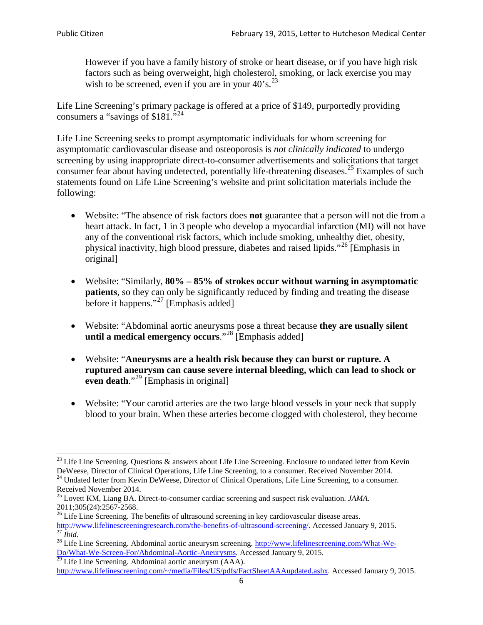However if you have a family history of stroke or heart disease, or if you have high risk factors such as being overweight, high cholesterol, smoking, or lack exercise you may wish to be screened, even if you are in your  $40^\circ$ s.<sup>[23](#page-5-0)</sup>

Life Line Screening's primary package is offered at a price of \$149, purportedly providing consumers a "savings of \$181."<sup>[24](#page-5-1)</sup>

Life Line Screening seeks to prompt asymptomatic individuals for whom screening for asymptomatic cardiovascular disease and osteoporosis is *not clinically indicated* to undergo screening by using inappropriate direct-to-consumer advertisements and solicitations that target consumer fear about having undetected, potentially life-threatening diseases.<sup>[25](#page-5-2)</sup> Examples of such statements found on Life Line Screening's website and print solicitation materials include the following:

- Website: "The absence of risk factors does **not** guarantee that a person will not die from a heart attack. In fact, 1 in 3 people who develop a myocardial infarction (MI) will not have any of the conventional risk factors, which include smoking, unhealthy diet, obesity, physical inactivity, high blood pressure, diabetes and raised lipids."[26](#page-5-3) [Emphasis in original]
- Website: "Similarly, **80% – 85% of strokes occur without warning in asymptomatic patients**, so they can only be significantly reduced by finding and treating the disease before it happens."<sup>[27](#page-5-4)</sup> [Emphasis added]
- Website: "Abdominal aortic aneurysms pose a threat because **they are usually silent until a medical emergency occurs**."[28](#page-5-5) [Emphasis added]
- Website: "**Aneurysms are a health risk because they can burst or rupture. A ruptured aneurysm can cause severe internal bleeding, which can lead to shock or even death.**"<sup>[29](#page-5-6)</sup> [Emphasis in original]
- Website: "Your carotid arteries are the two large blood vessels in your neck that supply blood to your brain. When these arteries become clogged with cholesterol, they become

<span id="page-5-0"></span><sup>&</sup>lt;sup>23</sup> Life Line Screening. Questions  $\&$  answers about Life Line Screening. Enclosure to undated letter from Kevin DeWeese, Director of Clinical Operations, Life Line Screening, to a consumer. Received November 2014.

<span id="page-5-1"></span><sup>&</sup>lt;sup>24</sup> Undated letter from Kevin DeWeese, Director of Clinical Operations, Life Line Screening, to a consumer. Received November 2014.

<span id="page-5-2"></span><sup>25</sup> Lovett KM, Liang BA. Direct-to-consumer cardiac screening and suspect risk evaluation. *JAMA*.  $2011;305(24):2567-2568$ .<br><sup>26</sup> Life Line Screening. The benefits of ultrasound screening in key cardiovascular disease areas.

<span id="page-5-3"></span>[http://www.lifelinescreeningresearch.com/the-benefits-of-ultrasound-screening/.](http://www.lifelinescreeningresearch.com/the-benefits-of-ultrasound-screening/) Accessed January 9, 2015.<br><sup>28</sup> Life Line Screening. Abdominal aortic aneurysm screening. http://www.lifelinescreening.com/What-We-<sup>28</sup>

<span id="page-5-5"></span><span id="page-5-4"></span>[Do/What-We-Screen-For/Abdominal-Aortic-Aneurysms.](http://www.lifelinescreening.com/What-We-Do/What-We-Screen-For/Abdominal-Aortic-Aneurysms) Accessed January 9, 2015. <sup>29</sup> Life Line Screening. Abdominal aortic aneurysm (AAA).

<span id="page-5-6"></span>[http://www.lifelinescreening.com/~/media/Files/US/pdfs/FactSheetAAAupdated.ashx.](http://www.lifelinescreening.com/~/media/Files/US/pdfs/FactSheetAAAupdated.ashx) Accessed January 9, 2015.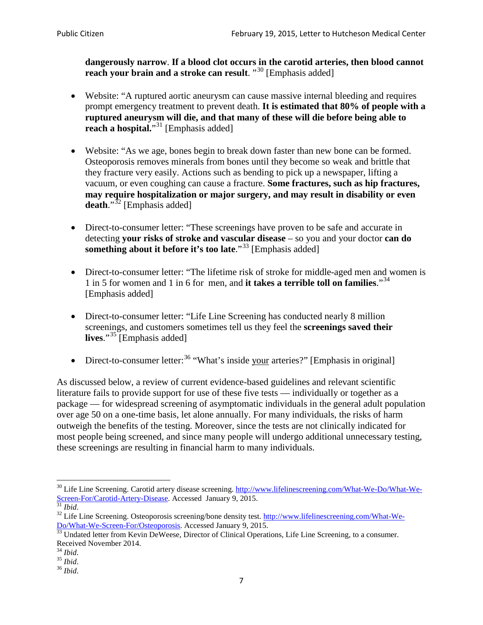**dangerously narrow**. **If a blood clot occurs in the carotid arteries, then blood cannot reach your brain and a stroke can result**. "<sup>[30](#page-6-0)</sup> [Emphasis added]

- Website: "A ruptured aortic aneurysm can cause massive internal bleeding and requires prompt emergency treatment to prevent death. **It is estimated that 80% of people with a ruptured aneurysm will die, and that many of these will die before being able to reach a hospital.**"<sup>[31](#page-6-1)</sup> [Emphasis added]
- Website: "As we age, bones begin to break down faster than new bone can be formed. Osteoporosis removes minerals from bones until they become so weak and brittle that they fracture very easily. Actions such as bending to pick up a newspaper, lifting a vacuum, or even coughing can cause a fracture. **Some fractures, such as hip fractures, may require hospitalization or major surgery, and may result in disability or even**  death."<sup>[32](#page-6-2)</sup> [Emphasis added]
- Direct-to-consumer letter: "These screenings have proven to be safe and accurate in detecting **your risks of stroke and vascular disease** – so you and your doctor **can do something about it before it's too late.**"<sup>[33](#page-6-3)</sup> [Emphasis added]
- Direct-to-consumer letter: "The lifetime risk of stroke for middle-aged men and women is 1 in 5 for women and 1 in 6 for men, and **it takes a terrible toll on families**."[34](#page-6-4) [Emphasis added]
- Direct-to-consumer letter: "Life Line Screening has conducted nearly 8 million screenings, and customers sometimes tell us they feel the **screenings saved their**  lives."<sup>[35](#page-6-5)</sup> [Emphasis added]
- Direct-to-consumer letter:  $36$  "What's inside your arteries?" [Emphasis in original]

As discussed below, a review of current evidence-based guidelines and relevant scientific literature fails to provide support for use of these five tests — individually or together as a package — for widespread screening of asymptomatic individuals in the general adult population over age 50 on a one-time basis, let alone annually. For many individuals, the risks of harm outweigh the benefits of the testing. Moreover, since the tests are not clinically indicated for most people being screened, and since many people will undergo additional unnecessary testing, these screenings are resulting in financial harm to many individuals.

<span id="page-6-0"></span><sup>&</sup>lt;sup>30</sup> Life Line Screening. Carotid artery disease screening. [http://www.lifelinescreening.com/What-We-Do/What-We-](http://www.lifelinescreening.com/What-We-Do/What-We-Screen-For/Carotid-Artery-Disease)[Screen-For/Carotid-Artery-Disease.](http://www.lifelinescreening.com/What-We-Do/What-We-Screen-For/Carotid-Artery-Disease) Accessed January 9, 2015.<br><sup>31</sup> *Ibid.* 32 Life Line Screening. Osteoporosis screening/bone density test. [http://www.lifelinescreening.com/What-We-](http://www.lifelinescreening.com/What-We-Do/What-We-Screen-For/Osteoporosis)

<span id="page-6-2"></span><span id="page-6-1"></span>[Do/What-We-Screen-For/Osteoporosis.](http://www.lifelinescreening.com/What-We-Do/What-We-Screen-For/Osteoporosis) Accessed January 9, 2015. <sup>33</sup> Undated letter from Kevin DeWeese, Director of Clinical Operations, Life Line Screening, to a consumer.

<span id="page-6-3"></span>Received November 2014.<br><sup>34</sup> Ibid.

<span id="page-6-4"></span>

<span id="page-6-5"></span><sup>34</sup> *Ibid*. 35 *Ibid*. 36 *Ibid*.

<span id="page-6-6"></span>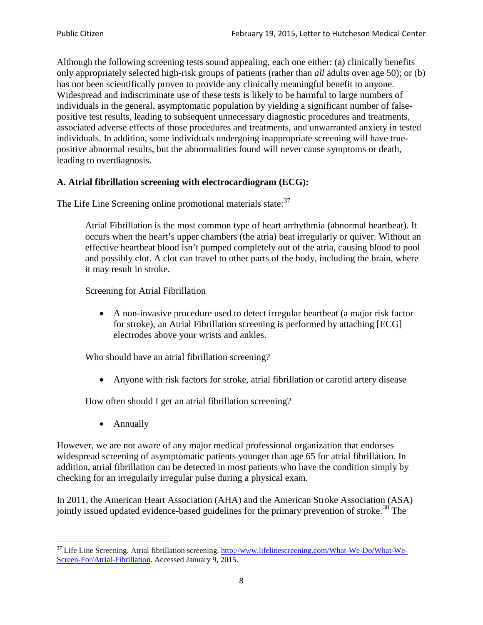Although the following screening tests sound appealing, each one either: (a) clinically benefits only appropriately selected high-risk groups of patients (rather than *all* adults over age 50); or (b) has not been scientifically proven to provide any clinically meaningful benefit to anyone. Widespread and indiscriminate use of these tests is likely to be harmful to large numbers of individuals in the general, asymptomatic population by yielding a significant number of falsepositive test results, leading to subsequent unnecessary diagnostic procedures and treatments, associated adverse effects of those procedures and treatments, and unwarranted anxiety in tested individuals. In addition, some individuals undergoing inappropriate screening will have truepositive abnormal results, but the abnormalities found will never cause symptoms or death, leading to overdiagnosis.

# **A. Atrial fibrillation screening with electrocardiogram (ECG):**

The Life Line Screening online promotional materials state:<sup>[37](#page-7-0)</sup>

Atrial Fibrillation is the most common type of heart arrhythmia (abnormal heartbeat). It occurs when the heart's upper chambers (the atria) beat irregularly or quiver. Without an effective heartbeat blood isn't pumped completely out of the atria, causing blood to pool and possibly clot. A clot can travel to other parts of the body, including the brain, where it may result in stroke.

Screening for Atrial Fibrillation

• A non-invasive procedure used to detect irregular heartbeat (a major risk factor for stroke), an Atrial Fibrillation screening is performed by attaching [ECG] electrodes above your wrists and ankles.

Who should have an atrial fibrillation screening?

• Anyone with risk factors for stroke, atrial fibrillation or carotid artery disease

How often should I get an atrial fibrillation screening?

• Annually

<span id="page-7-1"></span>However, we are not aware of any major medical professional organization that endorses widespread screening of asymptomatic patients younger than age 65 for atrial fibrillation. In addition, atrial fibrillation can be detected in most patients who have the condition simply by checking for an irregularly irregular pulse during a physical exam.

In 2011, the American Heart Association (AHA) and the American Stroke Association (ASA) jointly issued updated evidence-based guidelines for the primary prevention of stroke.<sup>[38](#page-7-1)</sup> The

<span id="page-7-0"></span><sup>&</sup>lt;sup>37</sup> Life Line Screening. Atrial fibrillation screening. [http://www.lifelinescreening.com/What-We-Do/What-We-](http://www.lifelinescreening.com/What-We-Do/What-We-Screen-For/Atrial-Fibrillation)[Screen-For/Atrial-Fibrillation.](http://www.lifelinescreening.com/What-We-Do/What-We-Screen-For/Atrial-Fibrillation) Accessed January 9, 2015.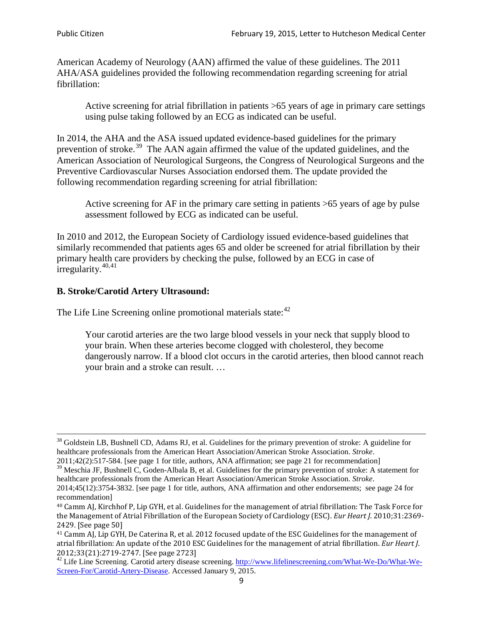American Academy of Neurology (AAN) affirmed the value of these guidelines. The 2011 AHA/ASA guidelines provided the following recommendation regarding screening for atrial fibrillation:

Active screening for atrial fibrillation in patients >65 years of age in primary care settings using pulse taking followed by an ECG as indicated can be useful.

In 2014, the AHA and the ASA issued updated evidence-based guidelines for the primary prevention of stroke.<sup>[39](#page-8-0)</sup> The AAN again affirmed the value of the updated guidelines, and the American Association of Neurological Surgeons, the Congress of Neurological Surgeons and the Preventive Cardiovascular Nurses Association endorsed them. The update provided the following recommendation regarding screening for atrial fibrillation:

Active screening for AF in the primary care setting in patients >65 years of age by pulse assessment followed by ECG as indicated can be useful.

In 2010 and 2012, the European Society of Cardiology issued evidence-based guidelines that similarly recommended that patients ages 65 and older be screened for atrial fibrillation by their primary health care providers by checking the pulse, followed by an ECG in case of irregularity. $40,41$  $40,41$ 

# **B. Stroke/Carotid Artery Ultrasound:**

The Life Line Screening online promotional materials state:<sup>[42](#page-8-3)</sup>

Your carotid arteries are the two large blood vessels in your neck that supply blood to your brain. When these arteries become clogged with cholesterol, they become dangerously narrow. If a blood clot occurs in the carotid arteries, then blood cannot reach your brain and a stroke can result. …

<sup>&</sup>lt;sup>38</sup> Goldstein LB, Bushnell CD, Adams RJ, et al. Guidelines for the primary prevention of stroke: A guideline for healthcare professionals from the American Heart Association/American Stroke Association. *Stroke*.

<sup>2011;42(2):517-584.</sup> [see page 1 for title, authors, ANA affirmation; see page 21 for recommendation]

<span id="page-8-0"></span> $\frac{2011,42(2)(317,601)}{39}$  Meschia JF, Bushnell C, Goden-Albala B, et al. Guidelines for the primary prevention of stroke: A statement for healthcare professionals from the American Heart Association/American Stroke Association. *Stroke*.

<sup>2014;45(12):3754-3832.</sup> [see page 1 for title, authors, ANA affirmation and other endorsements; see page 24 for recommendation]

<span id="page-8-1"></span><sup>40</sup> Camm AJ, Kirchhof P, Lip GYH, et al. Guidelines for the management of atrial fibrillation: The Task Force for the Management of Atrial Fibrillation of the European Society of Cardiology (ESC). *Eur Heart J*. 2010;31:2369- 2429. [See page 50]

<span id="page-8-2"></span><sup>41</sup> Camm AJ, Lip GYH, De Caterina R, et al. 2012 focused update of the ESC Guidelines for the management of atrial fibrillation: An update of the 2010 ESC Guidelines for the management of atrial fibrillation. *Eur Heart J*.

<span id="page-8-3"></span><sup>2012;33(21):2719-2747. [</sup>See page 2723]<br><sup>42</sup> Life Line Screening. Carotid artery disease screening. [http://www.lifelinescreening.com/What-We-Do/What-We-](http://www.lifelinescreening.com/What-We-Do/What-We-Screen-For/Carotid-Artery-Disease)[Screen-For/Carotid-Artery-Disease.](http://www.lifelinescreening.com/What-We-Do/What-We-Screen-For/Carotid-Artery-Disease) Accessed January 9, 2015.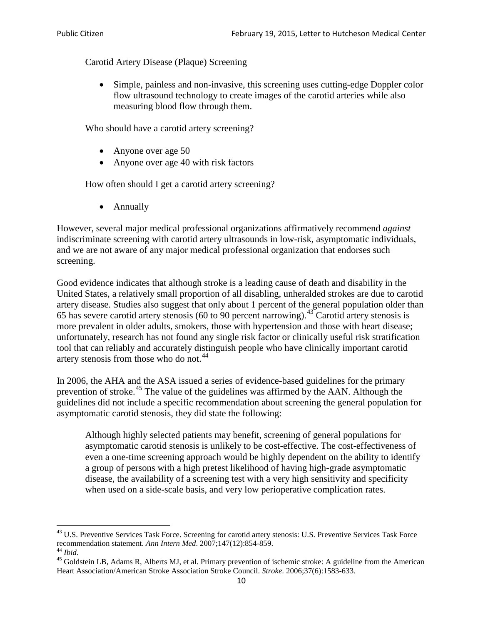Carotid Artery Disease (Plaque) Screening

• Simple, painless and non-invasive, this screening uses cutting-edge Doppler color flow ultrasound technology to create images of the carotid arteries while also measuring blood flow through them.

Who should have a carotid artery screening?

- Anyone over age 50
- Anyone over age 40 with risk factors

How often should I get a carotid artery screening?

• Annually

However, several major medical professional organizations affirmatively recommend *against* indiscriminate screening with carotid artery ultrasounds in low-risk, asymptomatic individuals, and we are not aware of any major medical professional organization that endorses such screening.

Good evidence indicates that although stroke is a leading cause of death and disability in the United States, a relatively small proportion of all disabling, unheralded strokes are due to carotid artery disease. Studies also suggest that only about 1 percent of the general population older than 65 has severe carotid artery stenosis (60 to 90 percent narrowing).<sup>[43](#page-9-0)</sup> Carotid artery stenosis is more prevalent in older adults, smokers, those with hypertension and those with heart disease; unfortunately, research has not found any single risk factor or clinically useful risk stratification tool that can reliably and accurately distinguish people who have clinically important carotid artery stenosis from those who do not.<sup>[44](#page-9-1)</sup>

In 2006, the AHA and the ASA issued a series of evidence-based guidelines for the primary prevention of stroke.[45](#page-9-2) The value of the guidelines was affirmed by the AAN. Although the guidelines did not include a specific recommendation about screening the general population for asymptomatic carotid stenosis, they did state the following:

Although highly selected patients may benefit, screening of general populations for asymptomatic carotid stenosis is unlikely to be cost-effective. The cost-effectiveness of even a one-time screening approach would be highly dependent on the ability to identify a group of persons with a high pretest likelihood of having high-grade asymptomatic disease, the availability of a screening test with a very high sensitivity and specificity when used on a side-scale basis, and very low perioperative complication rates.

<span id="page-9-0"></span> $^{43}$  U.S. Preventive Services Task Force. Screening for carotid artery stenosis: U.S. Preventive Services Task Force recommendation statement. Ann Intern Med. 2007;147(12):854-859.

<span id="page-9-2"></span><span id="page-9-1"></span><sup>&</sup>lt;sup>44</sup> *Ibid*. <sup>45</sup> Goldstein LB, Adams R, Alberts MJ, et al. Primary prevention of ischemic stroke: A guideline from the American <sup>45</sup> Goldstein LB, Adams R, Alberts MJ, et al. Primary prevention of ischemic stroke: A guide Heart Association/American Stroke Association Stroke Council. *Stroke*. 2006;37(6):1583-633.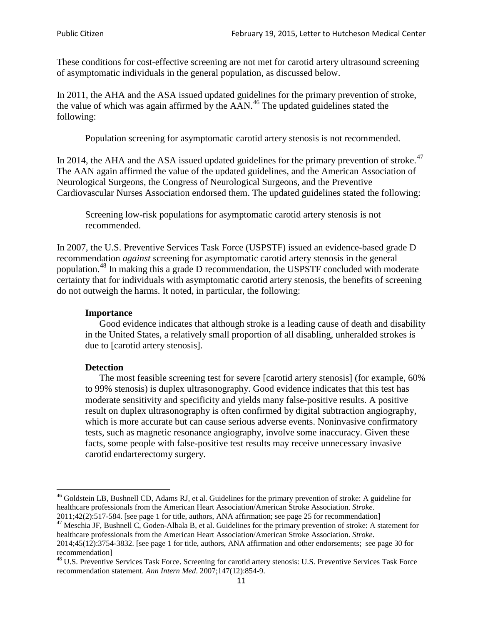These conditions for cost-effective screening are not met for carotid artery ultrasound screening of asymptomatic individuals in the general population, as discussed below.

In 2011, the AHA and the ASA issued updated guidelines for the primary prevention of stroke, the value of which was again affirmed by the  $AAN<sup>46</sup>$  $AAN<sup>46</sup>$  $AAN<sup>46</sup>$ . The updated guidelines stated the following:

Population screening for asymptomatic carotid artery stenosis is not recommended.

In 2014, the AHA and the ASA issued updated guidelines for the primary prevention of stroke. $47$ The AAN again affirmed the value of the updated guidelines, and the American Association of Neurological Surgeons, the Congress of Neurological Surgeons, and the Preventive Cardiovascular Nurses Association endorsed them. The updated guidelines stated the following:

Screening low-risk populations for asymptomatic carotid artery stenosis is not recommended.

In 2007, the U.S. Preventive Services Task Force (USPSTF) issued an evidence-based grade D recommendation *against* screening for asymptomatic carotid artery stenosis in the general population.[48](#page-10-2) In making this a grade D recommendation, the USPSTF concluded with moderate certainty that for individuals with asymptomatic carotid artery stenosis, the benefits of screening do not outweigh the harms. It noted, in particular, the following:

#### **Importance**

Good evidence indicates that although stroke is a leading cause of death and disability in the United States, a relatively small proportion of all disabling, unheralded strokes is due to [carotid artery stenosis].

#### **Detection**

The most feasible screening test for severe [carotid artery stenosis] (for example, 60% to 99% stenosis) is duplex ultrasonography. Good evidence indicates that this test has moderate sensitivity and specificity and yields many false-positive results. A positive result on duplex ultrasonography is often confirmed by digital subtraction angiography, which is more accurate but can cause serious adverse events. Noninvasive confirmatory tests, such as magnetic resonance angiography, involve some inaccuracy. Given these facts, some people with false-positive test results may receive unnecessary invasive carotid endarterectomy surgery.

<span id="page-10-0"></span><sup>&</sup>lt;sup>46</sup> Goldstein LB, Bushnell CD, Adams RJ, et al. Guidelines for the primary prevention of stroke: A guideline for healthcare professionals from the American Heart Association/American Stroke Association. *Stroke*.<br>2011;42(2):517-584. [see page 1 for title, authors, ANA affirmation; see page 25 for recommendation]

<span id="page-10-1"></span><sup>&</sup>lt;sup>47</sup> Meschia JF, Bushnell C, Goden-Albala B, et al. Guidelines for the primary prevention of stroke: A statement for healthcare professionals from the American Heart Association/American Stroke Association. *Stroke*. 2014;45(12):3754-3832. [see page 1 for title, authors, ANA affirmation and other endorsements; see page 30 for

recommendation]

<span id="page-10-2"></span><sup>&</sup>lt;sup>48</sup> U.S. Preventive Services Task Force. Screening for carotid artery stenosis: U.S. Preventive Services Task Force recommendation statement. *Ann Intern Med*. 2007;147(12):854-9.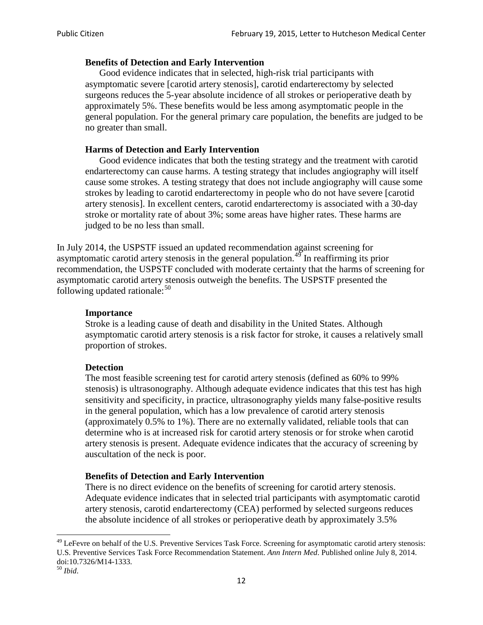### **Benefits of Detection and Early Intervention**

Good evidence indicates that in selected, high-risk trial participants with asymptomatic severe [carotid artery stenosis], carotid endarterectomy by selected surgeons reduces the 5-year absolute incidence of all strokes or perioperative death by approximately 5%. These benefits would be less among asymptomatic people in the general population. For the general primary care population, the benefits are judged to be no greater than small.

### **Harms of Detection and Early Intervention**

Good evidence indicates that both the testing strategy and the treatment with carotid endarterectomy can cause harms. A testing strategy that includes angiography will itself cause some strokes. A testing strategy that does not include angiography will cause some strokes by leading to carotid endarterectomy in people who do not have severe [carotid artery stenosis]. In excellent centers, carotid endarterectomy is associated with a 30-day stroke or mortality rate of about 3%; some areas have higher rates. These harms are judged to be no less than small.

In July 2014, the USPSTF issued an updated recommendation against screening for asymptomatic carotid artery stenosis in the general population.<sup>[49](#page-11-0)</sup> In reaffirming its prior recommendation, the USPSTF concluded with moderate certainty that the harms of screening for asymptomatic carotid artery stenosis outweigh the benefits. The USPSTF presented the following updated rationale: $50$ 

#### **Importance**

Stroke is a leading cause of death and disability in the United States. Although asymptomatic carotid artery stenosis is a risk factor for stroke, it causes a relatively small proportion of strokes.

#### **Detection**

The most feasible screening test for carotid artery stenosis (defined as 60% to 99% stenosis) is ultrasonography. Although adequate evidence indicates that this test has high sensitivity and specificity, in practice, ultrasonography yields many false-positive results in the general population, which has a low prevalence of carotid artery stenosis (approximately 0.5% to 1%). There are no externally validated, reliable tools that can determine who is at increased risk for carotid artery stenosis or for stroke when carotid artery stenosis is present. Adequate evidence indicates that the accuracy of screening by auscultation of the neck is poor.

#### **Benefits of Detection and Early Intervention**

There is no direct evidence on the benefits of screening for carotid artery stenosis. Adequate evidence indicates that in selected trial participants with asymptomatic carotid artery stenosis, carotid endarterectomy (CEA) performed by selected surgeons reduces the absolute incidence of all strokes or perioperative death by approximately 3.5%

<span id="page-11-0"></span><sup>&</sup>lt;sup>49</sup> LeFevre on behalf of the U.S. Preventive Services Task Force. Screening for asymptomatic carotid artery stenosis: U.S. Preventive Services Task Force Recommendation Statement. *Ann Intern Med*. Published online July 8, 2014. doi:10.7326/M14-1333. <sup>50</sup> *Ibid*.

<span id="page-11-1"></span>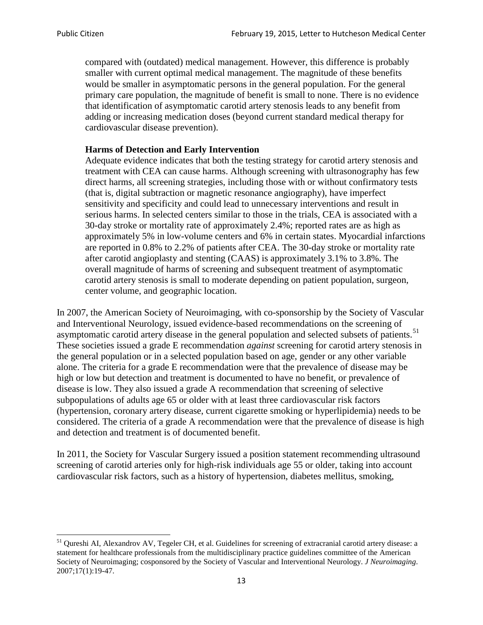compared with (outdated) medical management. However, this difference is probably smaller with current optimal medical management. The magnitude of these benefits would be smaller in asymptomatic persons in the general population. For the general primary care population, the magnitude of benefit is small to none. There is no evidence that identification of asymptomatic carotid artery stenosis leads to any benefit from adding or increasing medication doses (beyond current standard medical therapy for cardiovascular disease prevention).

### **Harms of Detection and Early Intervention**

Adequate evidence indicates that both the testing strategy for carotid artery stenosis and treatment with CEA can cause harms. Although screening with ultrasonography has few direct harms, all screening strategies, including those with or without confirmatory tests (that is, digital subtraction or magnetic resonance angiography), have imperfect sensitivity and specificity and could lead to unnecessary interventions and result in serious harms. In selected centers similar to those in the trials, CEA is associated with a 30-day stroke or mortality rate of approximately 2.4%; reported rates are as high as approximately 5% in low-volume centers and 6% in certain states. Myocardial infarctions are reported in 0.8% to 2.2% of patients after CEA. The 30-day stroke or mortality rate after carotid angioplasty and stenting (CAAS) is approximately 3.1% to 3.8%. The overall magnitude of harms of screening and subsequent treatment of asymptomatic carotid artery stenosis is small to moderate depending on patient population, surgeon, center volume, and geographic location.

In 2007, the American Society of Neuroimaging, with co-sponsorship by the Society of Vascular and Interventional Neurology, issued evidence-based recommendations on the screening of asymptomatic carotid artery disease in the general population and selected subsets of patients.<sup>[51](#page-12-0)</sup> These societies issued a grade E recommendation *against* screening for carotid artery stenosis in the general population or in a selected population based on age, gender or any other variable alone. The criteria for a grade E recommendation were that the prevalence of disease may be high or low but detection and treatment is documented to have no benefit, or prevalence of disease is low. They also issued a grade A recommendation that screening of selective subpopulations of adults age 65 or older with at least three cardiovascular risk factors (hypertension, coronary artery disease, current cigarette smoking or hyperlipidemia) needs to be considered. The criteria of a grade A recommendation were that the prevalence of disease is high and detection and treatment is of documented benefit.

In 2011, the Society for Vascular Surgery issued a position statement recommending ultrasound screening of carotid arteries only for high-risk individuals age 55 or older, taking into account cardiovascular risk factors, such as a history of hypertension, diabetes mellitus, smoking,

<span id="page-12-0"></span><sup>&</sup>lt;sup>51</sup> Qureshi AI, Alexandrov AV, Tegeler CH, et al. Guidelines for screening of extracranial carotid artery disease: a statement for healthcare professionals from the multidisciplinary practice guidelines committee of the American Society of Neuroimaging; cosponsored by the Society of Vascular and Interventional Neurology. *J Neuroimaging*. 2007;17(1):19-47.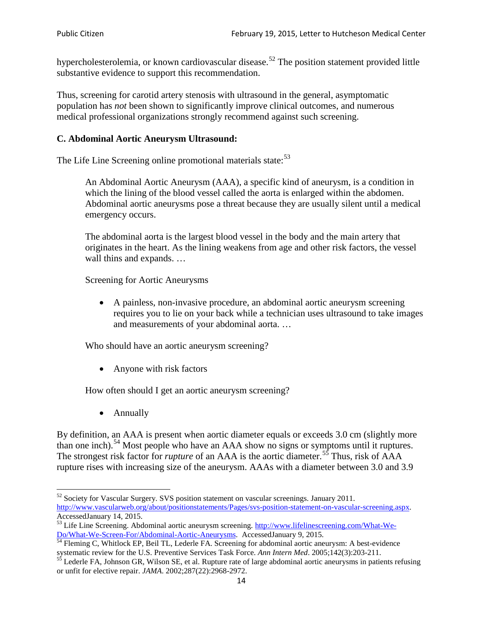hypercholesterolemia, or known cardiovascular disease.<sup>[52](#page-13-0)</sup> The position statement provided little substantive evidence to support this recommendation.

Thus, screening for carotid artery stenosis with ultrasound in the general, asymptomatic population has *not* been shown to significantly improve clinical outcomes, and numerous medical professional organizations strongly recommend against such screening.

## **C. Abdominal Aortic Aneurysm Ultrasound:**

The Life Line Screening online promotional materials state:<sup>[53](#page-13-1)</sup>

An Abdominal Aortic Aneurysm (AAA), a specific kind of aneurysm, is a condition in which the lining of the blood vessel called the aorta is enlarged within the abdomen. Abdominal aortic aneurysms pose a threat because they are usually silent until a medical emergency occurs.

The abdominal aorta is the largest blood vessel in the body and the main artery that originates in the heart. As the lining weakens from age and other risk factors, the vessel wall thins and expands. …

Screening for Aortic Aneurysms

• A painless, non-invasive procedure, an abdominal aortic aneurysm screening requires you to lie on your back while a technician uses ultrasound to take images and measurements of your abdominal aorta. …

Who should have an aortic aneurysm screening?

• Anyone with risk factors

How often should I get an aortic aneurysm screening?

• Annually

By definition, an AAA is present when aortic diameter equals or exceeds 3.0 cm (slightly more than one inch).<sup>[54](#page-13-2)</sup> Most people who have an AAA show no signs or symptoms until it ruptures. The strongest risk factor for *rupture* of an AAA is the aortic diameter.<sup>[55](#page-13-3)</sup> Thus, risk of AAA rupture rises with increasing size of the aneurysm. AAAs with a diameter between 3.0 and 3.9

<span id="page-13-0"></span><sup>&</sup>lt;sup>52</sup> Society for Vascular Surgery. SVS position statement on vascular screenings. January 2011. http://www.vascularweb.org/about/positionstatements/Pages/svs-position-statement-on-vascular-screening.aspx.<br>Accessed January 14, 2015.

<span id="page-13-1"></span>Accessed January 14, 2015.<br>
Sa Life Line Screening. Abdominal aortic aneurysm screening. http://www.lifelinescreening.com/What-We-<br>
Do/What-We-Screen-For/Abdominal-Aortic-Aneurysms. Accessed January 9, 2015.

<span id="page-13-2"></span> $\frac{54}{9}$  Fleming C, Whitlock EP, Beil TL, Lederle FA. Screening for abdominal aortic aneurysm: A best-evidence systematic review for the U.S. Preventive Services Task Force. *Ann Intern Med.* 2005;142(3):203-211.<br><sup>55</sup> Lederle FA, Johnson GR, Wilson SE, et al. Rupture rate of large abdominal aortic aneurysms in patients refusing

<span id="page-13-3"></span>or unfit for elective repair. *JAMA*. 2002;287(22):2968-2972.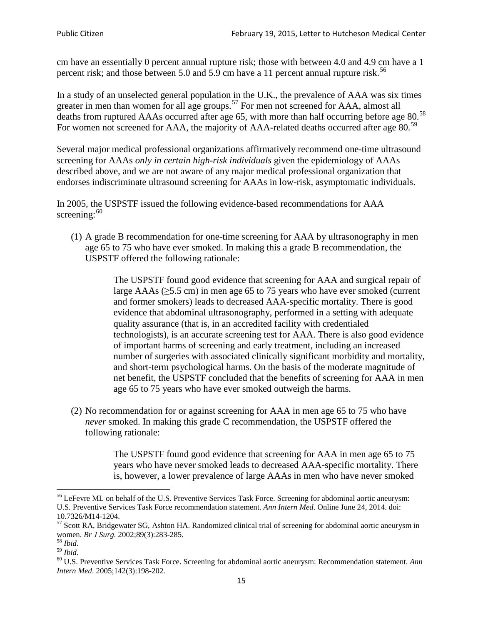cm have an essentially 0 percent annual rupture risk; those with between 4.0 and 4.9 cm have a 1 percent risk; and those between 5.0 and 5.9 cm have a 11 percent annual rupture risk.<sup>[56](#page-14-0)</sup>

In a study of an unselected general population in the U.K., the prevalence of AAA was six times greater in men than women for all age groups.<sup>[57](#page-14-1)</sup> For men not screened for  $AAA$ , almost all deaths from ruptured AAAs occurred after age 65, with more than half occurring before age 80.<sup>[58](#page-14-2)</sup> For women not screened for AAA, the majority of AAA-related deaths occurred after age 80.<sup>[59](#page-14-3)</sup>

Several major medical professional organizations affirmatively recommend one-time ultrasound screening for AAAs *only in certain high-risk individuals* given the epidemiology of AAAs described above, and we are not aware of any major medical professional organization that endorses indiscriminate ultrasound screening for AAAs in low-risk, asymptomatic individuals.

In 2005, the USPSTF issued the following evidence-based recommendations for AAA screening: $60$ 

(1) A grade B recommendation for one-time screening for AAA by ultrasonography in men age 65 to 75 who have ever smoked. In making this a grade [B recommendation,](http://www.uspreventiveservicestaskforce.org/uspstf/gradespre.htm#brec) the USPSTF offered the following rationale:

> The USPSTF found good evidence that screening for AAA and surgical repair of large AAAs ( $\geq$ 5.5 cm) in men age 65 to 75 years who have ever smoked (current and former smokers) leads to decreased AAA-specific mortality. There is good evidence that abdominal ultrasonography, performed in a setting with adequate quality assurance (that is, in an accredited facility with credentialed technologists), is an accurate screening test for AAA. There is also good evidence of important harms of screening and early treatment, including an increased number of surgeries with associated clinically significant morbidity and mortality, and short-term psychological harms. On the basis of the moderate magnitude of net benefit, the USPSTF concluded that the benefits of screening for AAA in men age 65 to 75 years who have ever smoked outweigh the harms.

(2) No recommendation for or against screening for AAA in men age 65 to 75 who have *never* smoked. In making this grade C recommendation, the USPSTF offered the following rationale:

> The USPSTF found good evidence that screening for AAA in men age 65 to 75 years who have never smoked leads to decreased AAA-specific mortality. There is, however, a lower prevalence of large AAAs in men who have never smoked

<span id="page-14-0"></span><sup>&</sup>lt;sup>56</sup> LeFevre ML on behalf of the U.S. Preventive Services Task Force. Screening for abdominal aortic aneurysm: U.S. Preventive Services Task Force recommendation statement. *Ann Intern Med*. Online June 24, 2014. doi:

<span id="page-14-1"></span><sup>10.7326/</sup>M14-1204.<br> $57$  Scott RA, Bridgewater SG, Ashton HA. Randomized clinical trial of screening for abdominal aortic aneurysm in women. *Br J Surg.* 2002;89(3):283-285.

<span id="page-14-4"></span><span id="page-14-3"></span>

<span id="page-14-2"></span><sup>&</sup>lt;sup>58</sup> *Ibid.*<br><sup>59</sup> *Ibid.* 2002;<br><sup>60</sup> U.S. Preventive Services Task Force. Screening for abdominal aortic aneurysm: Recommendation statement. *Ann Intern Med*. 2005;142(3):198-202.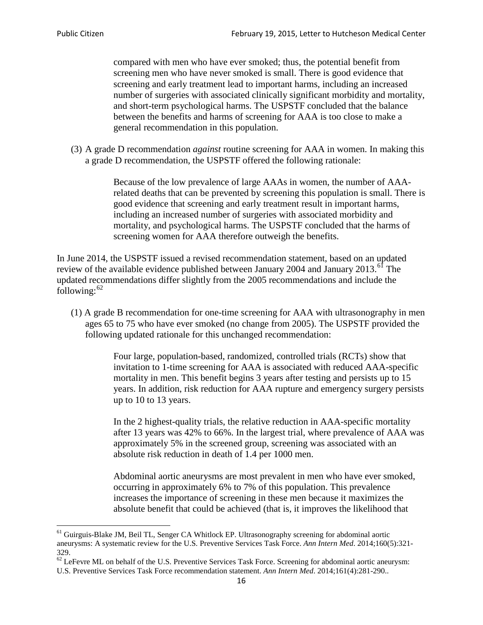compared with men who have ever smoked; thus, the potential benefit from screening men who have never smoked is small. There is good evidence that screening and early treatment lead to important harms, including an increased number of surgeries with associated clinically significant morbidity and mortality, and short-term psychological harms. The USPSTF concluded that the balance between the benefits and harms of screening for AAA is too close to make a general recommendation in this population.

(3) A grade D recommendation *against* routine screening for AAA in women. In making this a grade D recommendation, the USPSTF offered the following rationale:

> Because of the low prevalence of large AAAs in women, the number of AAArelated deaths that can be prevented by screening this population is small. There is good evidence that screening and early treatment result in important harms, including an increased number of surgeries with associated morbidity and mortality, and psychological harms. The USPSTF concluded that the harms of screening women for AAA therefore outweigh the benefits.

In June 2014, the USPSTF issued a revised recommendation statement, based on an updated review of the available evidence published between January 2004 and January 2013.<sup>[61](#page-15-0)</sup> The updated recommendations differ slightly from the 2005 recommendations and include the following: $62$ 

(1) A grade B recommendation for one-time screening for AAA with ultrasonography in men ages 65 to 75 who have ever smoked (no change from 2005). The USPSTF provided the following updated rationale for this unchanged recommendation:

> Four large, population-based, randomized, controlled trials (RCTs) show that invitation to 1-time screening for AAA is associated with reduced AAA-specific mortality in men. This benefit begins 3 years after testing and persists up to 15 years. In addition, risk reduction for AAA rupture and emergency surgery persists up to 10 to 13 years.

> In the 2 highest-quality trials, the relative reduction in AAA-specific mortality after 13 years was 42% to 66%. In the largest trial, where prevalence of AAA was approximately 5% in the screened group, screening was associated with an absolute risk reduction in death of 1.4 per 1000 men.

Abdominal aortic aneurysms are most prevalent in men who have ever smoked, occurring in approximately 6% to 7% of this population. This prevalence increases the importance of screening in these men because it maximizes the absolute benefit that could be achieved (that is, it improves the likelihood that

<span id="page-15-0"></span><sup>61</sup> Guirguis-Blake JM, Beil TL, Senger CA Whitlock EP. Ultrasonography screening for abdominal aortic aneurysms: A systematic review for the U.S. Preventive Services Task Force. *Ann Intern Med*. 2014;160(5):321- 329.

<span id="page-15-1"></span> $62$  LeFevre ML on behalf of the U.S. Preventive Services Task Force. Screening for abdominal aortic aneurysm: U.S. Preventive Services Task Force recommendation statement. *Ann Intern Med*. 2014;161(4):281-290..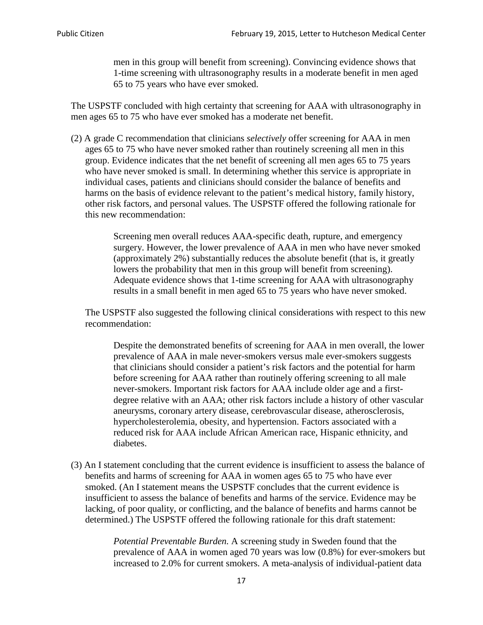men in this group will benefit from screening). Convincing evidence shows that 1-time screening with ultrasonography results in a moderate benefit in men aged 65 to 75 years who have ever smoked.

The USPSTF concluded with high certainty that screening for AAA with ultrasonography in men ages 65 to 75 who have ever smoked has a moderate net benefit.

(2) A grade C recommendation that clinicians *selectively* offer screening for AAA in men ages 65 to 75 who have never smoked rather than routinely screening all men in this group. Evidence indicates that the net benefit of screening all men ages 65 to 75 years who have never smoked is small. In determining whether this service is appropriate in individual cases, patients and clinicians should consider the balance of benefits and harms on the basis of evidence relevant to the patient's medical history, family history, other risk factors, and personal values. The USPSTF offered the following rationale for this new recommendation:

> Screening men overall reduces AAA-specific death, rupture, and emergency surgery. However, the lower prevalence of AAA in men who have never smoked (approximately 2%) substantially reduces the absolute benefit (that is, it greatly lowers the probability that men in this group will benefit from screening). Adequate evidence shows that 1-time screening for AAA with ultrasonography results in a small benefit in men aged 65 to 75 years who have never smoked.

The USPSTF also suggested the following clinical considerations with respect to this new recommendation:

Despite the demonstrated benefits of screening for AAA in men overall, the lower prevalence of AAA in male never-smokers versus male ever-smokers suggests that clinicians should consider a patient's risk factors and the potential for harm before screening for AAA rather than routinely offering screening to all male never-smokers. Important risk factors for AAA include older age and a firstdegree relative with an AAA; other risk factors include a history of other vascular aneurysms, coronary artery disease, cerebrovascular disease, atherosclerosis, hypercholesterolemia, obesity, and hypertension. Factors associated with a reduced risk for AAA include African American race, Hispanic ethnicity, and diabetes.

(3) An I statement concluding that the current evidence is insufficient to assess the balance of benefits and harms of screening for AAA in women ages 65 to 75 who have ever smoked. (An I statement means the USPSTF concludes that the current evidence is insufficient to assess the balance of benefits and harms of the service. Evidence may be lacking, of poor quality, or conflicting, and the balance of benefits and harms cannot be determined.) The USPSTF offered the following rationale for this draft statement:

> *Potential Preventable Burden.* A screening study in Sweden found that the prevalence of AAA in women aged 70 years was low (0.8%) for ever-smokers but increased to 2.0% for current smokers. A meta-analysis of individual-patient data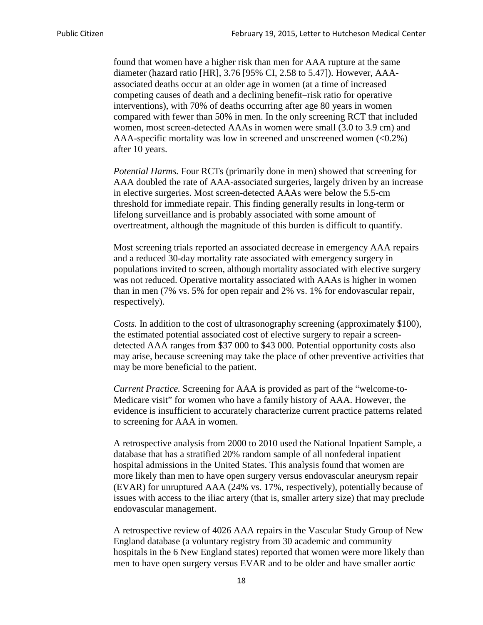found that women have a higher risk than men for AAA rupture at the same diameter (hazard ratio [HR], 3.76 [95% CI, 2.58 to 5.47]). However, AAAassociated deaths occur at an older age in women (at a time of increased competing causes of death and a declining benefit–risk ratio for operative interventions), with 70% of deaths occurring after age 80 years in women compared with fewer than 50% in men. In the only screening RCT that included women, most screen-detected AAAs in women were small (3.0 to 3.9 cm) and AAA-specific mortality was low in screened and unscreened women  $(<0.2\%)$ after 10 years.

*Potential Harms.* Four RCTs (primarily done in men) showed that screening for AAA doubled the rate of AAA-associated surgeries, largely driven by an increase in elective surgeries. Most screen-detected AAAs were below the 5.5-cm threshold for immediate repair. This finding generally results in long-term or lifelong surveillance and is probably associated with some amount of overtreatment, although the magnitude of this burden is difficult to quantify.

Most screening trials reported an associated decrease in emergency AAA repairs and a reduced 30-day mortality rate associated with emergency surgery in populations invited to screen, although mortality associated with elective surgery was not reduced. Operative mortality associated with AAAs is higher in women than in men (7% vs. 5% for open repair and 2% vs. 1% for endovascular repair, respectively).

*Costs.* In addition to the cost of ultrasonography screening (approximately \$100), the estimated potential associated cost of elective surgery to repair a screendetected AAA ranges from \$37 000 to \$43 000. Potential opportunity costs also may arise, because screening may take the place of other preventive activities that may be more beneficial to the patient.

*Current Practice.* Screening for AAA is provided as part of the "welcome-to-Medicare visit" for women who have a family history of AAA. However, the evidence is insufficient to accurately characterize current practice patterns related to screening for AAA in women.

A retrospective analysis from 2000 to 2010 used the National Inpatient Sample, a database that has a stratified 20% random sample of all nonfederal inpatient hospital admissions in the United States. This analysis found that women are more likely than men to have open surgery versus endovascular aneurysm repair (EVAR) for unruptured AAA (24% vs. 17%, respectively), potentially because of issues with access to the iliac artery (that is, smaller artery size) that may preclude endovascular management.

A retrospective review of 4026 AAA repairs in the Vascular Study Group of New England database (a voluntary registry from 30 academic and community hospitals in the 6 New England states) reported that women were more likely than men to have open surgery versus EVAR and to be older and have smaller aortic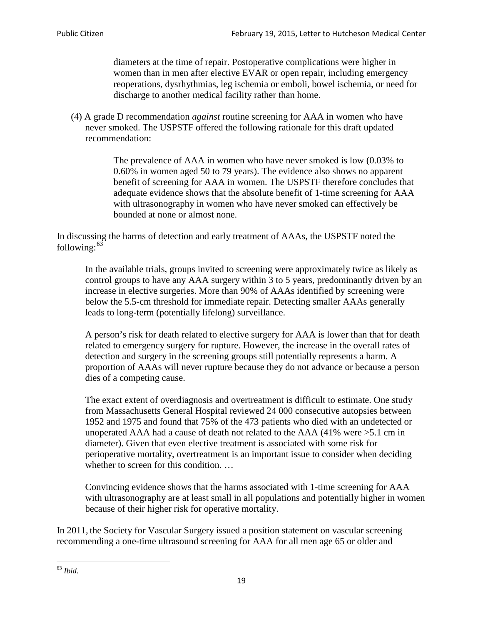diameters at the time of repair. Postoperative complications were higher in women than in men after elective EVAR or open repair, including emergency reoperations, dysrhythmias, leg ischemia or emboli, bowel ischemia, or need for discharge to another medical facility rather than home.

(4) A grade D recommendation *against* routine screening for AAA in women who have never smoked. The USPSTF offered the following rationale for this draft updated recommendation:

> The prevalence of AAA in women who have never smoked is low (0.03% to 0.60% in women aged 50 to 79 years). The evidence also shows no apparent benefit of screening for AAA in women. The USPSTF therefore concludes that adequate evidence shows that the absolute benefit of 1-time screening for AAA with ultrasonography in women who have never smoked can effectively be bounded at none or almost none.

In discussing the harms of detection and early treatment of AAAs, the USPSTF noted the following: $63$ 

In the available trials, groups invited to screening were approximately twice as likely as control groups to have any AAA surgery within 3 to 5 years, predominantly driven by an increase in elective surgeries. More than 90% of AAAs identified by screening were below the 5.5-cm threshold for immediate repair. Detecting smaller AAAs generally leads to long-term (potentially lifelong) surveillance.

A person's risk for death related to elective surgery for AAA is lower than that for death related to emergency surgery for rupture. However, the increase in the overall rates of detection and surgery in the screening groups still potentially represents a harm. A proportion of AAAs will never rupture because they do not advance or because a person dies of a competing cause.

The exact extent of overdiagnosis and overtreatment is difficult to estimate. One study from Massachusetts General Hospital reviewed 24 000 consecutive autopsies between 1952 and 1975 and found that 75% of the 473 patients who died with an undetected or unoperated AAA had a cause of death not related to the AAA (41% were >5.1 cm in diameter). Given that even elective treatment is associated with some risk for perioperative mortality, overtreatment is an important issue to consider when deciding whether to screen for this condition....

Convincing evidence shows that the harms associated with 1-time screening for AAA with ultrasonography are at least small in all populations and potentially higher in women because of their higher risk for operative mortality.

In 2011, the Society for Vascular Surgery issued a position statement on vascular screening recommending a one-time ultrasound screening for AAA for all men age 65 or older and

<span id="page-18-0"></span><sup>63</sup> *Ibid*.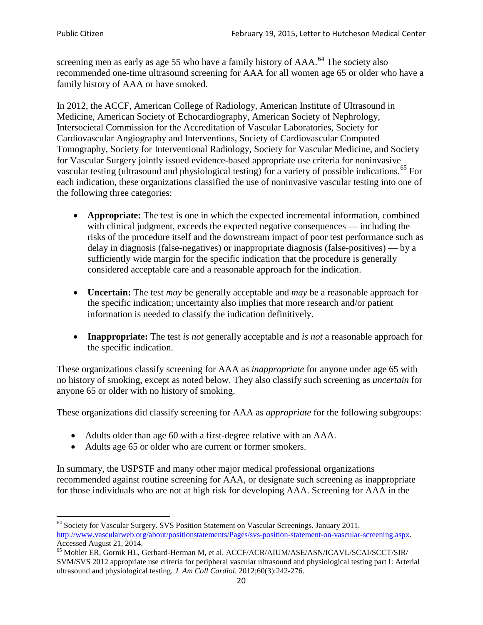screening men as early as age 55 who have a family history of AAA.<sup>[64](#page-19-0)</sup> The society also recommended one-time ultrasound screening for AAA for all women age 65 or older who have a family history of AAA or have smoked.

In 2012, the ACCF, American College of Radiology, American Institute of Ultrasound in Medicine, American Society of Echocardiography, American Society of Nephrology, Intersocietal Commission for the Accreditation of Vascular Laboratories, Society for Cardiovascular Angiography and Interventions, Society of Cardiovascular Computed Tomography, Society for Interventional Radiology, Society for Vascular Medicine, and Society for Vascular Surgery jointly issued evidence-based appropriate use criteria for noninvasive vascular testing (ultrasound and physiological testing) for a variety of possible indications.<sup>[65](#page-19-1)</sup> For each indication, these organizations classified the use of noninvasive vascular testing into one of the following three categories:

- **Appropriate:** The test is one in which the expected incremental information, combined with clinical judgment, exceeds the expected negative consequences — including the risks of the procedure itself and the downstream impact of poor test performance such as delay in diagnosis (false-negatives) or inappropriate diagnosis (false-positives) — by a sufficiently wide margin for the specific indication that the procedure is generally considered acceptable care and a reasonable approach for the indication.
- **Uncertain:** The test *may* be generally acceptable and *may* be a reasonable approach for the specific indication; uncertainty also implies that more research and/or patient information is needed to classify the indication definitively.
- **Inappropriate:** The test *is not* generally acceptable and *is not* a reasonable approach for the specific indication.

These organizations classify screening for AAA as *inappropriate* for anyone under age 65 with no history of smoking, except as noted below. They also classify such screening as *uncertain* for anyone 65 or older with no history of smoking.

These organizations did classify screening for AAA as *appropriate* for the following subgroups:

- Adults older than age 60 with a first-degree relative with an AAA.
- Adults age 65 or older who are current or former smokers.

In summary, the USPSTF and many other major medical professional organizations recommended against routine screening for AAA, or designate such screening as inappropriate for those individuals who are not at high risk for developing AAA. Screening for AAA in the

<span id="page-19-0"></span><sup>64</sup> Society for Vascular Surgery. SVS Position Statement on Vascular Screenings. January 2011. [http://www.vascularweb.org/about/positionstatements/Pages/svs-position-statement-on-vascular-screening.aspx.](http://www.vascularweb.org/about/positionstatements/Pages/svs-position-statement-on-vascular-screening.aspx) 

<span id="page-19-1"></span>Accessed August 21, 2014.<br><sup>65</sup> Mohler ER, Gornik HL, Gerhard-Herman M, et al. ACCF/ACR/AIUM/ASE/ASN/ICAVL/SCAI/SCCT/SIR/ SVM/SVS 2012 appropriate use criteria for peripheral vascular ultrasound and physiological testing part I: Arterial ultrasound and physiological testing*. J Am Coll Cardiol*. 2012;60(3):242-276.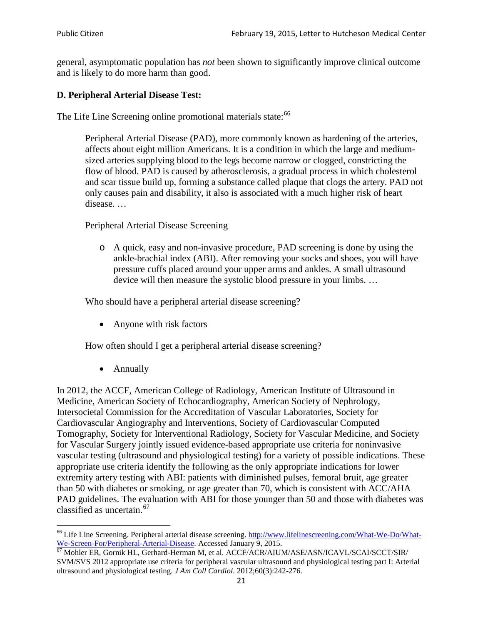general, asymptomatic population has *not* been shown to significantly improve clinical outcome and is likely to do more harm than good.

## **D. Peripheral Arterial Disease Test:**

The Life Line Screening online promotional materials state:<sup>[66](#page-20-0)</sup>

Peripheral Arterial Disease (PAD), more commonly known as hardening of the arteries, affects about eight million Americans. It is a condition in which the large and mediumsized arteries supplying blood to the legs become narrow or clogged, constricting the flow of blood. PAD is caused by atherosclerosis, a gradual process in which cholesterol and scar tissue build up, forming a substance called plaque that clogs the artery. PAD not only causes pain and disability, it also is associated with a much higher risk of heart disease. …

Peripheral Arterial Disease Screening

o A quick, easy and non-invasive procedure, PAD screening is done by using the ankle-brachial index (ABI). After removing your socks and shoes, you will have pressure cuffs placed around your upper arms and ankles. A small ultrasound device will then measure the systolic blood pressure in your limbs. …

Who should have a peripheral arterial disease screening?

• Anyone with risk factors

How often should I get a peripheral arterial disease screening?

• Annually

In 2012, the ACCF, American College of Radiology, American Institute of Ultrasound in Medicine, American Society of Echocardiography, American Society of Nephrology, Intersocietal Commission for the Accreditation of Vascular Laboratories, Society for Cardiovascular Angiography and Interventions, Society of Cardiovascular Computed Tomography, Society for Interventional Radiology, Society for Vascular Medicine, and Society for Vascular Surgery jointly issued evidence-based appropriate use criteria for noninvasive vascular testing (ultrasound and physiological testing) for a variety of possible indications. These appropriate use criteria identify the following as the only appropriate indications for lower extremity artery testing with ABI: patients with diminished pulses, femoral bruit, age greater than 50 with diabetes or smoking, or age greater than 70, which is consistent with ACC/AHA PAD guidelines. The evaluation with ABI for those younger than 50 and those with diabetes was classified as uncertain.<sup>[67](#page-20-1)</sup>

<span id="page-20-0"></span><sup>&</sup>lt;sup>66</sup> Life Line Screening. Peripheral arterial disease screening. [http://www.lifelinescreening.com/What-We-Do/What-](http://www.lifelinescreening.com/What-We-Do/What-We-Screen-For/Peripheral-Arterial-Disease)[We-Screen-For/Peripheral-Arterial-Disease.](http://www.lifelinescreening.com/What-We-Do/What-We-Screen-For/Peripheral-Arterial-Disease) Accessed January 9, 2015.<br><sup>67</sup> Mohler ER, Gornik HL, Gerhard-Herman M, et al. ACCF/ACR/AIUM/ASE/ASN/ICAVL/SCAI/SCCT/SIR/

<span id="page-20-1"></span>SVM/SVS 2012 appropriate use criteria for peripheral vascular ultrasound and physiological testing part I: Arterial ultrasound and physiological testing. *J Am Coll Cardiol*. 2012;60(3):242-276.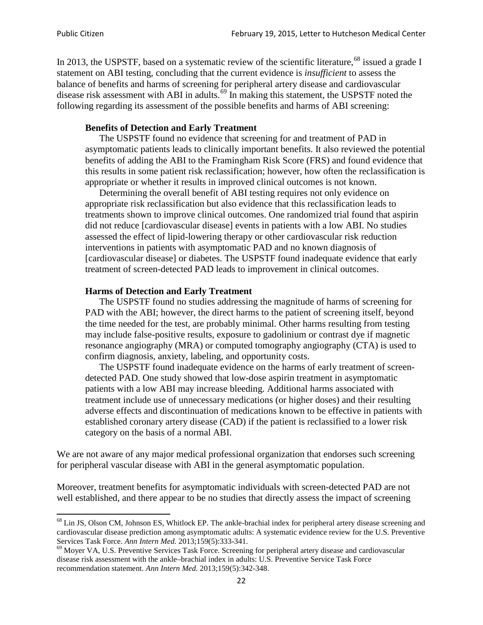In 2013, the USPSTF, based on a systematic review of the scientific literature,<sup>[68](#page-21-0)</sup> issued a grade I statement on ABI testing, concluding that the current evidence is *insufficient* to assess the balance of benefits and harms of screening for peripheral artery disease and cardiovascular disease risk assessment with ABI in adults.<sup>[69](#page-21-1)</sup> In making this statement, the USPSTF noted the following regarding its assessment of the possible benefits and harms of ABI screening:

### **Benefits of Detection and Early Treatment**

The USPSTF found no evidence that screening for and treatment of PAD in asymptomatic patients leads to clinically important benefits. It also reviewed the potential benefits of adding the ABI to the Framingham Risk Score (FRS) and found evidence that this results in some patient risk reclassification; however, how often the reclassification is appropriate or whether it results in improved clinical outcomes is not known.

Determining the overall benefit of ABI testing requires not only evidence on appropriate risk reclassification but also evidence that this reclassification leads to treatments shown to improve clinical outcomes. One randomized trial found that aspirin did not reduce [cardiovascular disease] events in patients with a low ABI. No studies assessed the effect of lipid-lowering therapy or other cardiovascular risk reduction interventions in patients with asymptomatic PAD and no known diagnosis of [cardiovascular disease] or diabetes. The USPSTF found inadequate evidence that early treatment of screen-detected PAD leads to improvement in clinical outcomes.

### **Harms of Detection and Early Treatment**

The USPSTF found no studies addressing the magnitude of harms of screening for PAD with the ABI; however, the direct harms to the patient of screening itself, beyond the time needed for the test, are probably minimal. Other harms resulting from testing may include false-positive results, exposure to gadolinium or contrast dye if magnetic resonance angiography (MRA) or computed tomography angiography (CTA) is used to confirm diagnosis, anxiety, labeling, and opportunity costs.

The USPSTF found inadequate evidence on the harms of early treatment of screendetected PAD. One study showed that low-dose aspirin treatment in asymptomatic patients with a low ABI may increase bleeding. Additional harms associated with treatment include use of unnecessary medications (or higher doses) and their resulting adverse effects and discontinuation of medications known to be effective in patients with established coronary artery disease (CAD) if the patient is reclassified to a lower risk category on the basis of a normal ABI.

We are not aware of any major medical professional organization that endorses such screening for peripheral vascular disease with ABI in the general asymptomatic population.

Moreover, treatment benefits for asymptomatic individuals with screen-detected PAD are not well established, and there appear to be no studies that directly assess the impact of screening

<span id="page-21-0"></span><sup>&</sup>lt;sup>68</sup> Lin JS, Olson CM, Johnson ES, Whitlock EP. The ankle-brachial index for peripheral artery disease screening and cardiovascular disease prediction among asymptomatic adults: A systematic evidence review for the U.S. Preventive Services Task Force. *Ann Intern Med.* 2013;159(5):333-341.<br><sup>69</sup> Moyer VA, U.S. Preventive Services Task Force. Screening for peripheral artery disease and cardiovascular

<span id="page-21-1"></span>disease risk assessment with the ankle–brachial index in adults: U.S. Preventive Service Task Force recommendation statement. *Ann Intern Med.* 2013;159(5):342-348.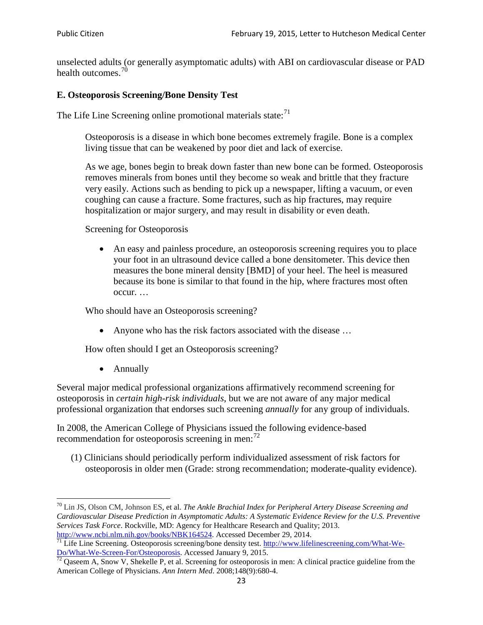unselected adults (or generally asymptomatic adults) with ABI on cardiovascular disease or PAD health outcomes.<sup>[70](#page-22-0)</sup>

## **E. Osteoporosis Screening/Bone Density Test**

The Life Line Screening online promotional materials state: $<sup>71</sup>$  $<sup>71</sup>$  $<sup>71</sup>$ </sup>

Osteoporosis is a disease in which bone becomes extremely fragile. Bone is a complex living tissue that can be weakened by poor diet and lack of exercise.

As we age, bones begin to break down faster than new bone can be formed. Osteoporosis removes minerals from bones until they become so weak and brittle that they fracture very easily. Actions such as bending to pick up a newspaper, lifting a vacuum, or even coughing can cause a fracture. Some fractures, such as hip fractures, may require hospitalization or major surgery, and may result in disability or even death.

Screening for Osteoporosis

• An easy and painless procedure, an osteoporosis screening requires you to place your foot in an ultrasound device called a bone densitometer. This device then measures the bone mineral density [BMD] of your heel. The heel is measured because its bone is similar to that found in the hip, where fractures most often occur. …

Who should have an Osteoporosis screening?

• Anyone who has the risk factors associated with the disease ...

How often should I get an Osteoporosis screening?

• Annually

Several major medical professional organizations affirmatively recommend screening for osteoporosis in *certain high-risk individuals*, but we are not aware of any major medical professional organization that endorses such screening *annually* for any group of individuals.

In 2008, the American College of Physicians issued the following evidence-based recommendation for osteoporosis screening in men: $^{72}$  $^{72}$  $^{72}$ 

(1) Clinicians should periodically perform individualized assessment of risk factors for osteoporosis in older men (Grade: strong recommendation; moderate-quality evidence).

<span id="page-22-0"></span><sup>70</sup> [Lin JS,](http://www.ncbi.nlm.nih.gov/pubmed?term=Lin%20JS%5BAuthor%5D&cauthor=true&cauthor_uid=24156115) [Olson CM,](http://www.ncbi.nlm.nih.gov/pubmed?term=Olson%20CM%5BAuthor%5D&cauthor=true&cauthor_uid=24156115) [Johnson ES,](http://www.ncbi.nlm.nih.gov/pubmed?term=Johnson%20ES%5BAuthor%5D&cauthor=true&cauthor_uid=24156115) et al. *The Ankle Brachial Index for Peripheral Artery Disease Screening and Cardiovascular Disease Prediction in Asymptomatic Adults: A Systematic Evidence Review for the U.S. Preventive Services Task Force*. Rockville, MD: Agency for Healthcare Research and Quality; 2013.<br>http://www.ncbi.nlm.nih.gov/books/NBK164524. Accessed December 29, 2014.

<span id="page-22-1"></span> $\frac{1}{71}$  Life Line Screening. Osteoporosis screening/bone density test. [http://www.lifelinescreening.com/What-We-](http://www.lifelinescreening.com/What-We-Do/What-We-Screen-For/Osteoporosis)[Do/What-We-Screen-For/Osteoporosis.](http://www.lifelinescreening.com/What-We-Do/What-We-Screen-For/Osteoporosis) Accessed January 9, 2015. <sup>72</sup> Qaseem A, Snow V, Shekelle P, et al. Screening for osteoporosis in men: A clinical practice guideline from the

<span id="page-22-2"></span>American College of Physicians. *Ann Intern Med*. 2008;148(9):680-4.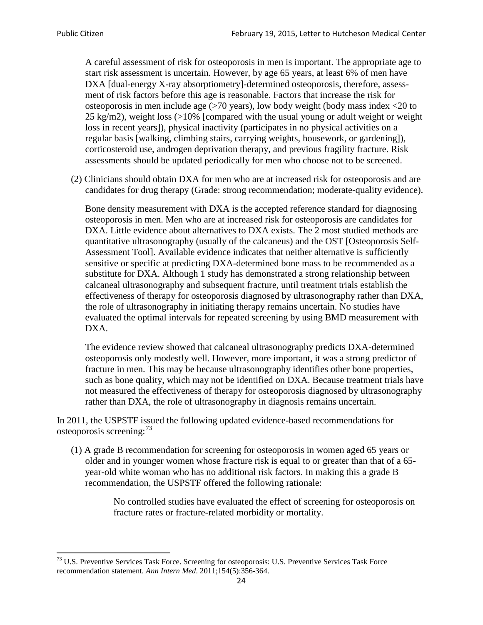A careful assessment of risk for osteoporosis in men is important. The appropriate age to start risk assessment is uncertain. However, by age 65 years, at least 6% of men have DXA [dual-energy X-ray absorptiometry]-determined osteoporosis, therefore, assessment of risk factors before this age is reasonable. Factors that increase the risk for osteoporosis in men include age (>70 years), low body weight (body mass index <20 to 25 kg/m2), weight loss  $\langle$  >10% [compared with the usual young or adult weight or weight loss in recent years]), physical inactivity (participates in no physical activities on a regular basis [walking, climbing stairs, carrying weights, housework, or gardening]), corticosteroid use, androgen deprivation therapy, and previous fragility fracture. Risk assessments should be updated periodically for men who choose not to be screened.

(2) Clinicians should obtain DXA for men who are at increased risk for osteoporosis and are candidates for drug therapy (Grade: strong recommendation; moderate-quality evidence).

Bone density measurement with DXA is the accepted reference standard for diagnosing osteoporosis in men. Men who are at increased risk for osteoporosis are candidates for DXA. Little evidence about alternatives to DXA exists. The 2 most studied methods are quantitative ultrasonography (usually of the calcaneus) and the OST [Osteoporosis Self-Assessment Tool]. Available evidence indicates that neither alternative is sufficiently sensitive or specific at predicting DXA-determined bone mass to be recommended as a substitute for DXA. Although 1 study has demonstrated a strong relationship between calcaneal ultrasonography and subsequent fracture, until treatment trials establish the effectiveness of therapy for osteoporosis diagnosed by ultrasonography rather than DXA, the role of ultrasonography in initiating therapy remains uncertain. No studies have evaluated the optimal intervals for repeated screening by using BMD measurement with DXA.

The evidence review showed that calcaneal ultrasonography predicts DXA-determined osteoporosis only modestly well. However, more important, it was a strong predictor of fracture in men. This may be because ultrasonography identifies other bone properties, such as bone quality, which may not be identified on DXA. Because treatment trials have not measured the effectiveness of therapy for osteoporosis diagnosed by ultrasonography rather than DXA, the role of ultrasonography in diagnosis remains uncertain.

In 2011, the USPSTF issued the following updated evidence-based recommendations for osteoporosis screening:<sup>[73](#page-23-0)</sup>

(1) A grade B recommendation for screening for osteoporosis in women aged 65 years or older and in younger women whose fracture risk is equal to or greater than that of a 65 year-old white woman who has no additional risk factors. In making this a grade B recommendation, the USPSTF offered the following rationale:

> No controlled studies have evaluated the effect of screening for osteoporosis on fracture rates or fracture-related morbidity or mortality.

<span id="page-23-0"></span><sup>&</sup>lt;sup>73</sup> U.S. Preventive Services Task Force. Screening for osteoporosis: U.S. Preventive Services Task Force recommendation statement. *Ann Intern Med*. 2011;154(5):356-364.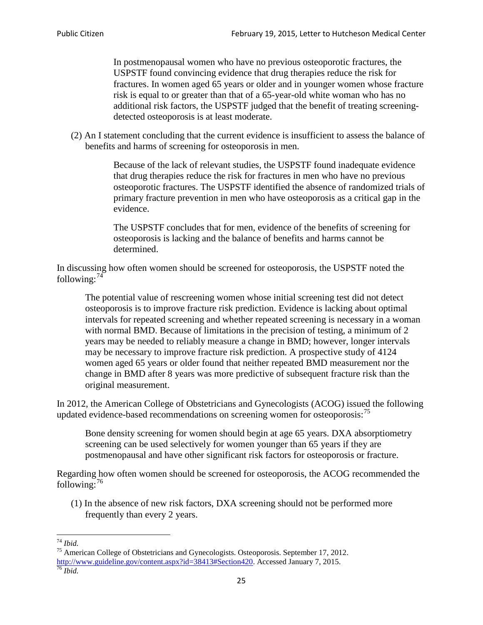In postmenopausal women who have no previous osteoporotic fractures, the USPSTF found convincing evidence that drug therapies reduce the risk for fractures. In women aged 65 years or older and in younger women whose fracture risk is equal to or greater than that of a 65-year-old white woman who has no additional risk factors, the USPSTF judged that the benefit of treating screeningdetected osteoporosis is at least moderate.

(2) An I statement concluding that the current evidence is insufficient to assess the balance of benefits and harms of screening for osteoporosis in men.

> Because of the lack of relevant studies, the USPSTF found inadequate evidence that drug therapies reduce the risk for fractures in men who have no previous osteoporotic fractures. The USPSTF identified the absence of randomized trials of primary fracture prevention in men who have osteoporosis as a critical gap in the evidence.

The USPSTF concludes that for men, evidence of the benefits of screening for osteoporosis is lacking and the balance of benefits and harms cannot be determined.

In discussing how often women should be screened for osteoporosis, the USPSTF noted the following: $74$ 

The potential value of rescreening women whose initial screening test did not detect osteoporosis is to improve fracture risk prediction. Evidence is lacking about optimal intervals for repeated screening and whether repeated screening is necessary in a woman with normal BMD. Because of limitations in the precision of testing, a minimum of 2 years may be needed to reliably measure a change in BMD; however, longer intervals may be necessary to improve fracture risk prediction. A prospective study of 4124 women aged 65 years or older found that neither repeated BMD measurement nor the change in BMD after 8 years was more predictive of subsequent fracture risk than the original measurement.

In 2012, the American College of Obstetricians and Gynecologists (ACOG) issued the following updated evidence-based recommendations on screening women for osteoporosis:<sup>[75](#page-24-1)</sup>

Bone density screening for women should begin at age 65 years. DXA absorptiometry screening can be used selectively for women younger than 65 years if they are postmenopausal and have other significant risk factors for osteoporosis or fracture.

Regarding how often women should be screened for osteoporosis, the ACOG recommended the following: $^{76}$  $^{76}$  $^{76}$ 

(1) In the absence of new risk factors, DXA screening should not be performed more frequently than every 2 years.

<span id="page-24-2"></span><span id="page-24-1"></span><span id="page-24-0"></span><sup>74</sup> *Ibid.* <sup>75</sup> American College of Obstetricians and Gynecologists. Osteoporosis. September 17, 2012. [http://www.guideline.gov/content.aspx?id=38413#Section420.](http://www.guideline.gov/content.aspx?id=38413#Section420) Accessed January 7, 2015.<br><sup>76</sup> *Ibid.*